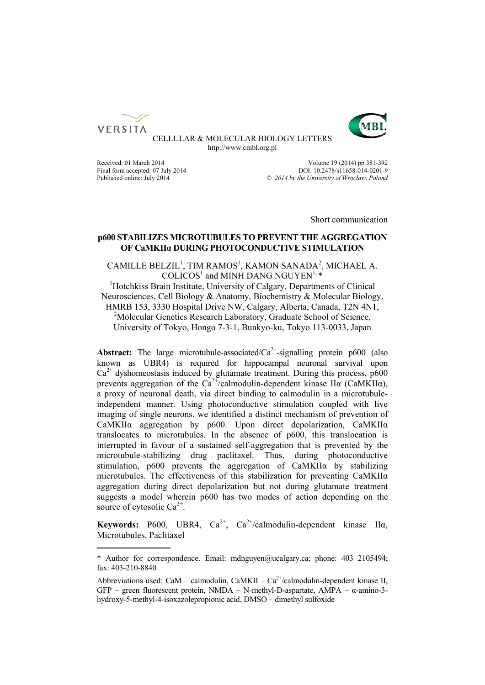



CELLULAR & MOLECULAR BIOLOGY LETTERS http://www.cmbl.org.pl

Received: 01 March 2014 Volume 19 (2014) pp 381-392<br>
Final form accepted: 07 July 2014 2014 2014 DOI: 10.2478/s11658-014-0201-9 Final form accepted: 07 July 2014<br>
Published online: July 2014<br>  $\degree$  2014 by the University of Wroclaw. Poland Published online: July 2014 *© 2014 by the University of Wrocław, Poland*

Short communication

## **p600 STABILIZES MICROTUBULES TO PREVENT THE AGGREGATION OF CaMKIIα DURING PHOTOCONDUCTIVE STIMULATION**

# $CAMILLE BELZIL<sup>1</sup>$ , TIM RAMOS<sup>1</sup>, KAMON SANADA<sup>2</sup>, MICHAEL A.  $COLICOS<sup>1</sup>$  and MINH DANG NGUYEN<sup>1,  $*$ </sup>

<sup>1</sup>Hotchkiss Brain Institute, University of Calgary, Departments of Clinical Neurosciences, Cell Biology & Anatomy, Biochemistry & Molecular Biology, HMRB 153, 3330 Hospital Drive NW, Calgary, Alberta, Canada, T2N 4N1, <sup>2</sup>Molecular Genetics Research Laboratory, Graduate School of Science, University of Tokyo, Hongo 7-3-1, Bunkyo-ku, Tokyo 113-0033, Japan

**Abstract:** The large microtubule-associated/ $Ca^{2+}$ -signalling protein p600 (also known as UBR4) is required for hippocampal neuronal survival upon  $Ca<sup>2+</sup>$  dyshomeostasis induced by glutamate treatment. During this process, p600 prevents aggregation of the  $Ca^{2+}/c$ almodulin-dependent kinase II $\alpha$  (CaMKII $\alpha$ ), a proxy of neuronal death, via direct binding to calmodulin in a microtubuleindependent manner. Using photoconductive stimulation coupled with live imaging of single neurons, we identified a distinct mechanism of prevention of CaMKIIα aggregation by p600. Upon direct depolarization, CaMKIIα translocates to microtubules. In the absence of p600, this translocation is interrupted in favour of a sustained self-aggregation that is prevented by the microtubule-stabilizing drug paclitaxel. Thus, during photoconductive stimulation,  $p600$  prevents the aggregation of  $CaMKIIa$  by stabilizing microtubules. The effectiveness of this stabilization for preventing CaMKIIα aggregation during direct depolarization but not during glutamate treatment suggests a model wherein p600 has two modes of action depending on the source of cytosolic  $Ca^{2+}$ .

**Keywords:** P600, UBR4,  $Ca^{2+}$ ,  $Ca^{2+}/calmoduli$ n-dependent kinase II $\alpha$ , Microtubules, Paclitaxel

<sup>\*</sup> Author for correspondence. Email: mdnguyen@ucalgary.ca; phone: 403 2105494; fax: 403-210-8840

Abbreviations used: CaM – calmodulin, CaMKII –  $Ca^{2+}/c$ almodulin-dependent kinase II, GFP – green fluorescent protein, NMDA – N-methyl-D-aspartate, AMPA – α-amino-3 hydroxy-5-methyl-4-isoxazolepropionic acid, DMSO – dimethyl sulfoxide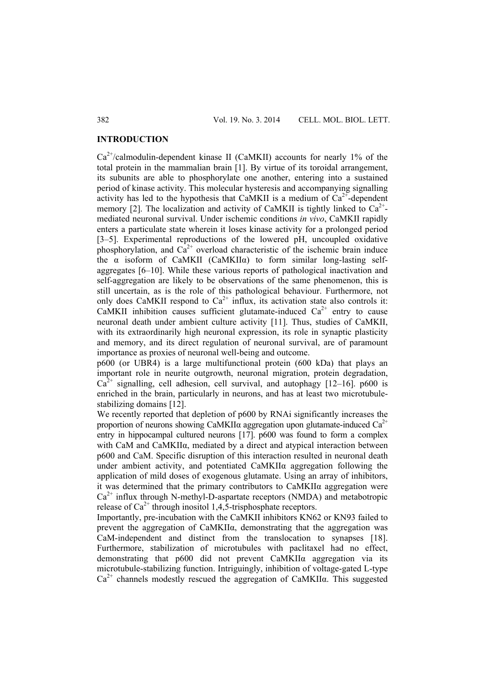#### **INTRODUCTION**

 $Ca^{2+}/c$ almodulin-dependent kinase II (CaMKII) accounts for nearly 1% of the total protein in the mammalian brain [1]. By virtue of its toroidal arrangement, its subunits are able to phosphorylate one another, entering into a sustained period of kinase activity. This molecular hysteresis and accompanying signalling activity has led to the hypothesis that CaMKII is a medium of  $Ca^{2+}$ -dependent memory [2]. The localization and activity of CaMKII is tightly linked to  $Ca^{2+}$ mediated neuronal survival. Under ischemic conditions *in vivo*, CaMKII rapidly enters a particulate state wherein it loses kinase activity for a prolonged period [3–5]. Experimental reproductions of the lowered pH, uncoupled oxidative phosphorylation, and  $Ca^{2+}$  overload characteristic of the ischemic brain induce the α isoform of CaMKII (CaMKIIα) to form similar long-lasting selfaggregates [6–10]. While these various reports of pathological inactivation and self-aggregation are likely to be observations of the same phenomenon, this is still uncertain, as is the role of this pathological behaviour. Furthermore, not only does CaMKII respond to  $Ca^{2+}$  influx, its activation state also controls it: CaMKII inhibition causes sufficient glutamate-induced  $Ca^{2+}$  entry to cause neuronal death under ambient culture activity [11]. Thus, studies of CaMKII, with its extraordinarily high neuronal expression, its role in synaptic plasticity and memory, and its direct regulation of neuronal survival, are of paramount importance as proxies of neuronal well-being and outcome.

p600 (or UBR4) is a large multifunctional protein (600 kDa) that plays an important role in neurite outgrowth, neuronal migration, protein degradation,  $Ca^{2+}$  signalling, cell adhesion, cell survival, and autophagy [12–16]. p600 is enriched in the brain, particularly in neurons, and has at least two microtubulestabilizing domains [12].

We recently reported that depletion of p600 by RNAi significantly increases the proportion of neurons showing CaMKII $\alpha$  aggregation upon glutamate-induced Ca<sup>2+</sup> entry in hippocampal cultured neurons [17]. p600 was found to form a complex with CaM and CaMKIIα, mediated by a direct and atypical interaction between p600 and CaM. Specific disruption of this interaction resulted in neuronal death under ambient activity, and potentiated CaMKIIα aggregation following the application of mild doses of exogenous glutamate. Using an array of inhibitors, it was determined that the primary contributors to CaMKIIα aggregation were  $Ca<sup>2+</sup>$  influx through N-methyl-D-aspartate receptors (NMDA) and metabotropic release of  $Ca^{2+}$  through inositol 1,4,5-trisphosphate receptors.

Importantly, pre-incubation with the CaMKII inhibitors KN62 or KN93 failed to prevent the aggregation of CaMKIIα, demonstrating that the aggregation was CaM-independent and distinct from the translocation to synapses [18]. Furthermore, stabilization of microtubules with paclitaxel had no effect, demonstrating that p600 did not prevent CaMKIIα aggregation via its microtubule-stabilizing function. Intriguingly, inhibition of voltage-gated L-type  $Ca^{2+}$  channels modestly rescued the aggregation of CaMKII $\alpha$ . This suggested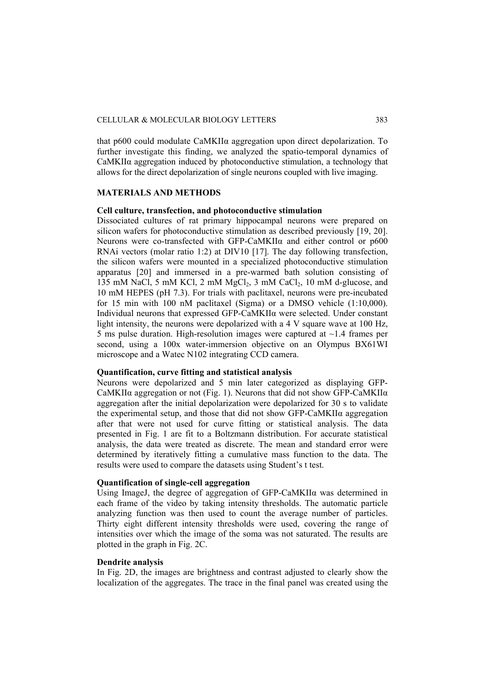#### CELLULAR & MOLECULAR BIOLOGY LETTERS 383

that p600 could modulate CaMKII $\alpha$  aggregation upon direct depolarization. To further investigate this finding, we analyzed the spatio-temporal dynamics of CaMKIIα aggregation induced by photoconductive stimulation, a technology that allows for the direct depolarization of single neurons coupled with live imaging.

### **MATERIALS AND METHODS**

## **Cell culture, transfection, and photoconductive stimulation**

Dissociated cultures of rat primary hippocampal neurons were prepared on silicon wafers for photoconductive stimulation as described previously [19, 20]. Neurons were co-transfected with GFP-CaMKIIα and either control or p600 RNAi vectors (molar ratio 1:2) at DIV10 [17]. The day following transfection, the silicon wafers were mounted in a specialized photoconductive stimulation apparatus [20] and immersed in a pre-warmed bath solution consisting of  $135$  mM NaCl, 5 mM KCl, 2 mM MgCl<sub>2</sub>, 3 mM CaCl<sub>2</sub>, 10 mM d-glucose, and 10 mM HEPES (pH 7.3). For trials with paclitaxel, neurons were pre-incubated for 15 min with 100 nM paclitaxel (Sigma) or a DMSO vehicle (1:10,000). Individual neurons that expressed GFP-CaMKIIα were selected. Under constant light intensity, the neurons were depolarized with a 4 V square wave at 100 Hz, 5 ms pulse duration. High-resolution images were captured at  $\sim$ 1.4 frames per second, using a 100x water-immersion objective on an Olympus BX61WI microscope and a Watec N102 integrating CCD camera.

#### **Quantification, curve fitting and statistical analysis**

Neurons were depolarized and 5 min later categorized as displaying GFP-CaMKIIα aggregation or not (Fig. 1). Neurons that did not show GFP-CaMKIIα aggregation after the initial depolarization were depolarized for 30 s to validate the experimental setup, and those that did not show GFP-CaMKIIα aggregation after that were not used for curve fitting or statistical analysis. The data presented in Fig. 1 are fit to a Boltzmann distribution. For accurate statistical analysis, the data were treated as discrete. The mean and standard error were determined by iteratively fitting a cumulative mass function to the data. The results were used to compare the datasets using Student's t test.

### **Quantification of single-cell aggregation**

Using ImageJ, the degree of aggregation of GFP-CaMKII $\alpha$  was determined in each frame of the video by taking intensity thresholds. The automatic particle analyzing function was then used to count the average number of particles. Thirty eight different intensity thresholds were used, covering the range of intensities over which the image of the soma was not saturated. The results are plotted in the graph in Fig. 2C.

### **Dendrite analysis**

In Fig. 2D, the images are brightness and contrast adjusted to clearly show the localization of the aggregates. The trace in the final panel was created using the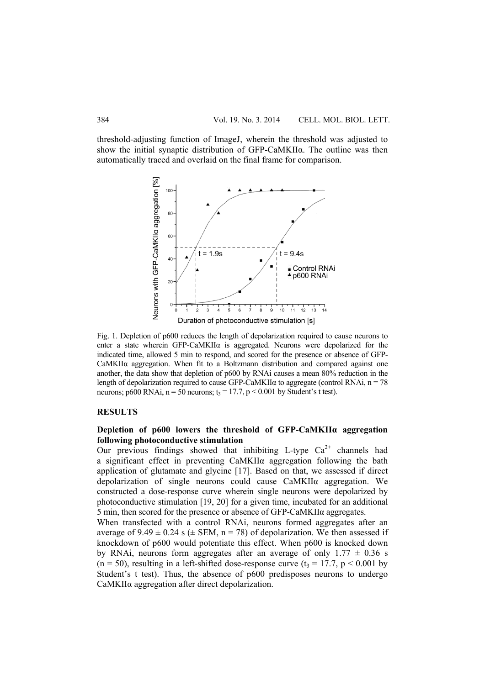threshold-adjusting function of ImageJ, wherein the threshold was adjusted to show the initial synaptic distribution of GFP-CaMKIIα. The outline was then automatically traced and overlaid on the final frame for comparison.



Fig. 1. Depletion of p600 reduces the length of depolarization required to cause neurons to enter a state wherein GFP-CaMKII $\alpha$  is aggregated. Neurons were depolarized for the indicated time, allowed 5 min to respond, and scored for the presence or absence of GFP-CaMKIIα aggregation. When fit to a Boltzmann distribution and compared against one another, the data show that depletion of p600 by RNAi causes a mean 80% reduction in the length of depolarization required to cause GFP-CaMKII $\alpha$  to aggregate (control RNAi,  $n = 78$ ) neurons; p600 RNAi,  $n = 50$  neurons;  $t_3 = 17.7$ ,  $p < 0.001$  by Student's t test).

#### **RESULTS**

# **Depletion of p600 lowers the threshold of GFP-CaMKIIα aggregation following photoconductive stimulation**

Our previous findings showed that inhibiting L-type  $Ca^{2+}$  channels had a significant effect in preventing CaMKIIα aggregation following the bath application of glutamate and glycine [17]. Based on that, we assessed if direct depolarization of single neurons could cause CaMKIIα aggregation. We constructed a dose-response curve wherein single neurons were depolarized by photoconductive stimulation [19, 20] for a given time, incubated for an additional 5 min, then scored for the presence or absence of GFP-CaMKIIα aggregates.

When transfected with a control RNAi, neurons formed aggregates after an average of  $9.49 \pm 0.24$  s ( $\pm$  SEM, n = 78) of depolarization. We then assessed if knockdown of p600 would potentiate this effect. When p600 is knocked down by RNAi, neurons form aggregates after an average of only  $1.77 \pm 0.36$  s  $(n = 50)$ , resulting in a left-shifted dose-response curve  $(t_3 = 17.7, p \le 0.001$  by Student's t test). Thus, the absence of p600 predisposes neurons to undergo CaMKIIα aggregation after direct depolarization.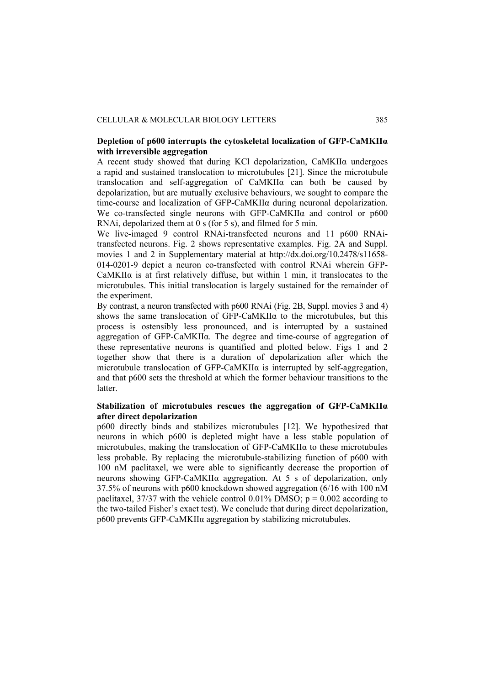## **Depletion of p600 interrupts the cytoskeletal localization of GFP-CaMKIIα with irreversible aggregation**

A recent study showed that during KCl depolarization,  $CaMKII\alpha$  undergoes a rapid and sustained translocation to microtubules [21]. Since the microtubule translocation and self-aggregation of CaMKIIα can both be caused by depolarization, but are mutually exclusive behaviours, we sought to compare the time-course and localization of GFP-CaMKIIα during neuronal depolarization. We co-transfected single neurons with GFP-CaMKIIα and control or p600 RNAi, depolarized them at 0 s (for 5 s), and filmed for 5 min.

We live-imaged 9 control RNAi-transfected neurons and 11 p600 RNAitransfected neurons. Fig. 2 shows representative examples. Fig. 2A and Suppl. movies 1 and 2 in Supplementary material at http://dx.doi.org/10.2478/s11658- 014-0201-9 depict a neuron co-transfected with control RNAi wherein GFP-CaMKIIα is at first relatively diffuse, but within 1 min, it translocates to the microtubules. This initial translocation is largely sustained for the remainder of the experiment.

By contrast, a neuron transfected with p600 RNAi (Fig. 2B, Suppl. movies 3 and 4) shows the same translocation of GFP-CaMKIIα to the microtubules, but this process is ostensibly less pronounced, and is interrupted by a sustained aggregation of GFP-CaMKIIα. The degree and time-course of aggregation of these representative neurons is quantified and plotted below. Figs 1 and 2 together show that there is a duration of depolarization after which the microtubule translocation of GFP-CaMKIIα is interrupted by self-aggregation, and that p600 sets the threshold at which the former behaviour transitions to the latter.

# **Stabilization of microtubules rescues the aggregation of GFP-CaMKIIα after direct depolarization**

p600 directly binds and stabilizes microtubules [12]. We hypothesized that neurons in which p600 is depleted might have a less stable population of microtubules, making the translocation of GFP-CaMKIIα to these microtubules less probable. By replacing the microtubule-stabilizing function of p600 with 100 nM paclitaxel, we were able to significantly decrease the proportion of neurons showing GFP-CaMKIIα aggregation. At 5 s of depolarization, only 37.5% of neurons with p600 knockdown showed aggregation (6/16 with 100 nM paclitaxel, 37/37 with the vehicle control 0.01% DMSO;  $p = 0.002$  according to the two-tailed Fisher's exact test). We conclude that during direct depolarization, p600 prevents GFP-CaMKIIα aggregation by stabilizing microtubules.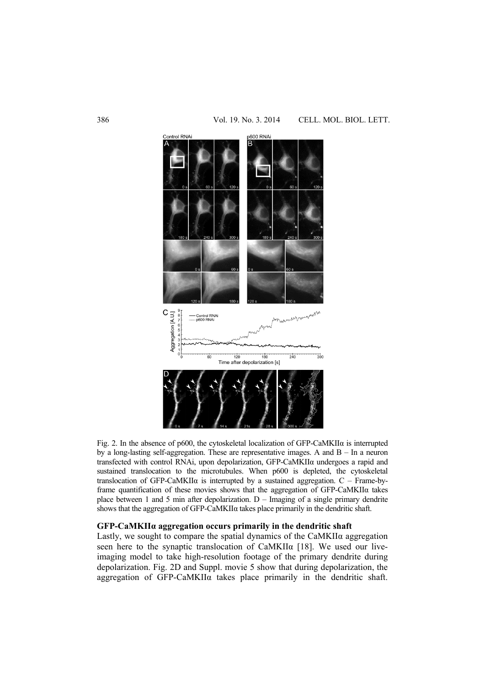

Fig. 2. In the absence of p600, the cytoskeletal localization of GFP-CaMKIIα is interrupted by a long-lasting self-aggregation. These are representative images. A and  $B - In$  a neuron transfected with control RNAi, upon depolarization, GFP-CaMKIIα undergoes a rapid and sustained translocation to the microtubules. When p600 is depleted, the cytoskeletal translocation of GFP-CaMKII $\alpha$  is interrupted by a sustained aggregation.  $C$  – Frame-byframe quantification of these movies shows that the aggregation of GFP-CaMKIIα takes place between 1 and 5 min after depolarization. D – Imaging of a single primary dendrite shows that the aggregation of GFP-CaMKIIα takes place primarily in the dendritic shaft.

#### **GFP-CaMKIIα aggregation occurs primarily in the dendritic shaft**

Lastly, we sought to compare the spatial dynamics of the CaMKIIα aggregation seen here to the synaptic translocation of CaMKIIa [18]. We used our liveimaging model to take high-resolution footage of the primary dendrite during depolarization. Fig. 2D and Suppl. movie 5 show that during depolarization, the aggregation of GFP-CaMKIIα takes place primarily in the dendritic shaft.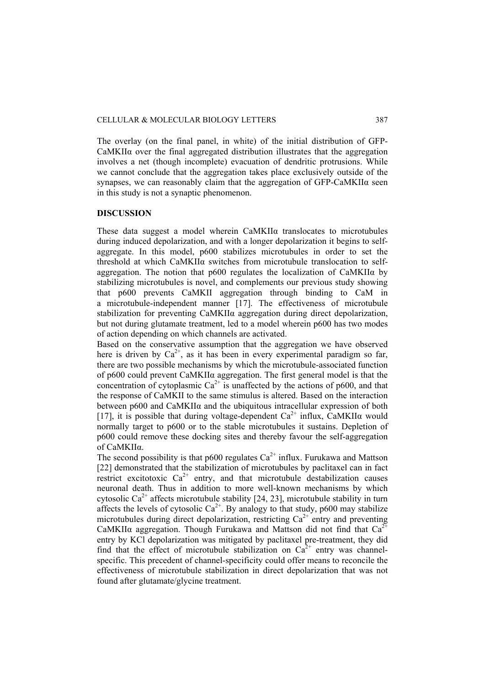The overlay (on the final panel, in white) of the initial distribution of GFP-CaMKIIα over the final aggregated distribution illustrates that the aggregation involves a net (though incomplete) evacuation of dendritic protrusions. While we cannot conclude that the aggregation takes place exclusively outside of the synapses, we can reasonably claim that the aggregation of GFP-CaMKIIα seen in this study is not a synaptic phenomenon.

## **DISCUSSION**

These data suggest a model wherein CaMKIIα translocates to microtubules during induced depolarization, and with a longer depolarization it begins to selfaggregate. In this model, p600 stabilizes microtubules in order to set the threshold at which CaMKIIα switches from microtubule translocation to selfaggregation. The notion that p600 regulates the localization of CaMKIIα by stabilizing microtubules is novel, and complements our previous study showing that p600 prevents CaMKII aggregation through binding to CaM in a microtubule-independent manner [17]. The effectiveness of microtubule stabilization for preventing CaMKIIα aggregation during direct depolarization, but not during glutamate treatment, led to a model wherein p600 has two modes of action depending on which channels are activated.

Based on the conservative assumption that the aggregation we have observed here is driven by  $Ca^{2+}$ , as it has been in every experimental paradigm so far, there are two possible mechanisms by which the microtubule-associated function of p600 could prevent CaMKIIα aggregation. The first general model is that the concentration of cytoplasmic  $Ca^{2+}$  is unaffected by the actions of p600, and that the response of CaMKII to the same stimulus is altered. Based on the interaction between p600 and CaMKIIα and the ubiquitous intracellular expression of both [17], it is possible that during voltage-dependent  $Ca^{2+}$  influx, CaMKII $\alpha$  would normally target to p600 or to the stable microtubules it sustains. Depletion of p600 could remove these docking sites and thereby favour the self-aggregation of CaMKIIα.

The second possibility is that p600 regulates  $Ca^{2+}$  influx. Furukawa and Mattson [22] demonstrated that the stabilization of microtubules by paclitaxel can in fact restrict excitotoxic  $Ca^{2+}$  entry, and that microtubule destabilization causes neuronal death. Thus in addition to more well-known mechanisms by which cytosolic  $Ca^{2+}$  affects microtubule stability [24, 23], microtubule stability in turn affects the levels of cytosolic  $Ca^{2+}$ . By analogy to that study, p600 may stabilize microtubules during direct depolarization, restricting  $Ca^{2+}$  entry and preventing CaMKII $\alpha$  aggregation. Though Furukawa and Mattson did not find that  $Ca^{2}$ entry by KCl depolarization was mitigated by paclitaxel pre-treatment, they did find that the effect of microtubule stabilization on  $Ca^{2+}$  entry was channelspecific. This precedent of channel-specificity could offer means to reconcile the effectiveness of microtubule stabilization in direct depolarization that was not found after glutamate/glycine treatment.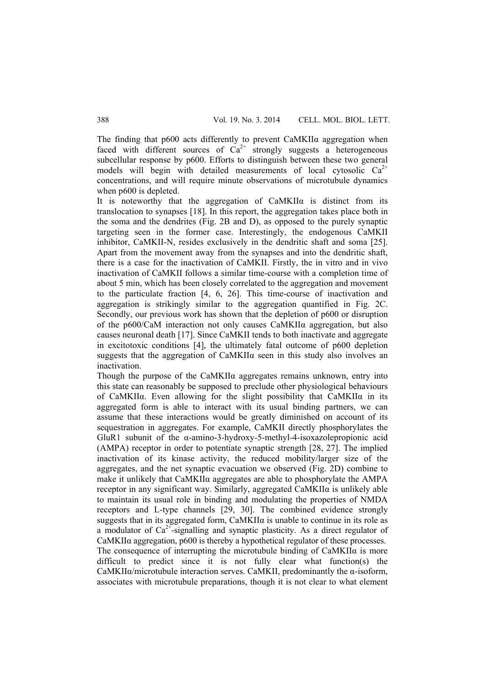The finding that p600 acts differently to prevent CaMKIIα aggregation when faced with different sources of  $Ca^{2+}$  strongly suggests a heterogeneous subcellular response by p600. Efforts to distinguish between these two general models will begin with detailed measurements of local cytosolic  $Ca^{2+}$ concentrations, and will require minute observations of microtubule dynamics when p600 is depleted.

It is noteworthy that the aggregation of CaMKIIα is distinct from its translocation to synapses [18]. In this report, the aggregation takes place both in the soma and the dendrites (Fig. 2B and D), as opposed to the purely synaptic targeting seen in the former case. Interestingly, the endogenous CaMKII inhibitor, CaMKII-N, resides exclusively in the dendritic shaft and soma [25]. Apart from the movement away from the synapses and into the dendritic shaft, there is a case for the inactivation of CaMKII. Firstly, the in vitro and in vivo inactivation of CaMKII follows a similar time-course with a completion time of about 5 min, which has been closely correlated to the aggregation and movement to the particulate fraction [4, 6, 26]. This time-course of inactivation and aggregation is strikingly similar to the aggregation quantified in Fig. 2C. Secondly, our previous work has shown that the depletion of p600 or disruption of the p600/CaM interaction not only causes CaMKIIα aggregation, but also causes neuronal death [17]. Since CaMKII tends to both inactivate and aggregate in excitotoxic conditions [4], the ultimately fatal outcome of p600 depletion suggests that the aggregation of CaMKIIα seen in this study also involves an inactivation.

Though the purpose of the CaMKII $\alpha$  aggregates remains unknown, entry into this state can reasonably be supposed to preclude other physiological behaviours of CaMKIIα. Even allowing for the slight possibility that CaMKIIα in its aggregated form is able to interact with its usual binding partners, we can assume that these interactions would be greatly diminished on account of its sequestration in aggregates. For example, CaMKII directly phosphorylates the GluR1 subunit of the α-amino-3-hydroxy-5-methyl-4-isoxazolepropionic acid (AMPA) receptor in order to potentiate synaptic strength [28, 27]. The implied inactivation of its kinase activity, the reduced mobility/larger size of the aggregates, and the net synaptic evacuation we observed (Fig. 2D) combine to make it unlikely that CaMKIIα aggregates are able to phosphorylate the AMPA receptor in any significant way. Similarly, aggregated CaMKIIα is unlikely able to maintain its usual role in binding and modulating the properties of NMDA receptors and L-type channels [29, 30]. The combined evidence strongly suggests that in its aggregated form, CaMKIIα is unable to continue in its role as a modulator of  $Ca^{2+}$ -signalling and synaptic plasticity. As a direct regulator of CaMKIIα aggregation, p600 is thereby a hypothetical regulator of these processes. The consequence of interrupting the microtubule binding of CaMKIIα is more difficult to predict since it is not fully clear what function(s) the CaMKIIα/microtubule interaction serves. CaMKII, predominantly the α-isoform, associates with microtubule preparations, though it is not clear to what element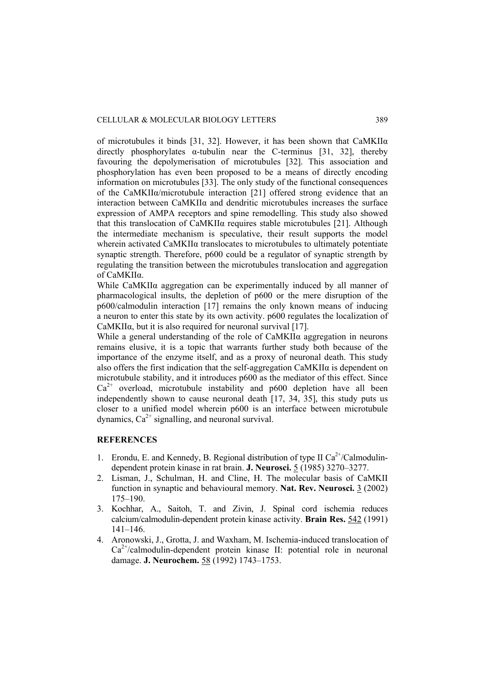of microtubules it binds [31, 32]. However, it has been shown that CaMKIIα directly phosphorylates  $\alpha$ -tubulin near the C-terminus [31, 32], thereby favouring the depolymerisation of microtubules [32]. This association and phosphorylation has even been proposed to be a means of directly encoding information on microtubules [33]. The only study of the functional consequences of the CaMKIIα/microtubule interaction [21] offered strong evidence that an interaction between CaMKIIα and dendritic microtubules increases the surface expression of AMPA receptors and spine remodelling. This study also showed that this translocation of CaMKIIα requires stable microtubules [21]. Although the intermediate mechanism is speculative, their result supports the model wherein activated CaMKIIα translocates to microtubules to ultimately potentiate synaptic strength. Therefore, p600 could be a regulator of synaptic strength by regulating the transition between the microtubules translocation and aggregation of CaMKIIα.

While CaMKIIα aggregation can be experimentally induced by all manner of pharmacological insults, the depletion of p600 or the mere disruption of the p600/calmodulin interaction [17] remains the only known means of inducing a neuron to enter this state by its own activity. p600 regulates the localization of CaMKII $\alpha$ , but it is also required for neuronal survival [17].

While a general understanding of the role of CaMKIIα aggregation in neurons remains elusive, it is a topic that warrants further study both because of the importance of the enzyme itself, and as a proxy of neuronal death. This study also offers the first indication that the self-aggregation CaMKIIα is dependent on microtubule stability, and it introduces p600 as the mediator of this effect. Since  $Ca<sup>2+</sup>$  overload, microtubule instability and p600 depletion have all been independently shown to cause neuronal death [17, 34, 35], this study puts us closer to a unified model wherein p600 is an interface between microtubule dynamics,  $Ca^{2+}$  signalling, and neuronal survival.

#### **REFERENCES**

- 1. Erondu, E. and Kennedy, B. Regional distribution of type II  $Ca^{2+}/Calmoduli$ dependent protein kinase in rat brain. **J. Neurosci.** 5 (1985) 3270–3277.
- 2. Lisman, J., Schulman, H. and Cline, H. The molecular basis of CaMKII function in synaptic and behavioural memory. **Nat. Rev. Neurosci.** 3 (2002) 175–190.
- 3. Kochhar, A., Saitoh, T. and Zivin, J. Spinal cord ischemia reduces calcium/calmodulin-dependent protein kinase activity. **Brain Res.** 542 (1991) 141–146.
- 4. Aronowski, J., Grotta, J. and Waxham, M. Ischemia-induced translocation of  $Ca<sup>2+</sup>/calmodulin-dependent protein kinase II: potential role in neuronal$ damage. **J. Neurochem.** 58 (1992) 1743–1753.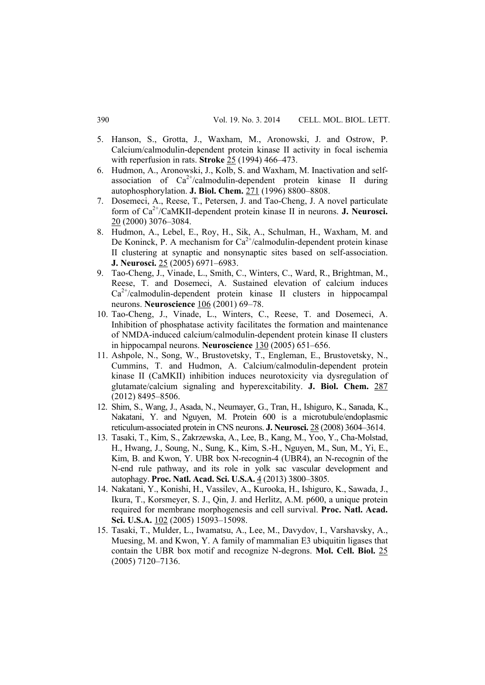- 5. Hanson, S., Grotta, J., Waxham, M., Aronowski, J. and Ostrow, P. Calcium/calmodulin-dependent protein kinase II activity in focal ischemia with reperfusion in rats. **Stroke** 25 (1994) 466–473.
- 6. Hudmon, A., Aronowski, J., Kolb, S. and Waxham, M. Inactivation and selfassociation of  $Ca^{2+}/c$ almodulin-dependent protein kinase II during autophosphorylation. **J. Biol. Chem.** 271 (1996) 8800–8808.
- 7. Dosemeci, A., Reese, T., Petersen, J. and Tao-Cheng, J. A novel particulate form of Ca2+/CaMKII-dependent protein kinase II in neurons. **J. Neurosci.** 20 (2000) 3076–3084.
- 8. Hudmon, A., Lebel, E., Roy, H., Sik, A., Schulman, H., Waxham, M. and De Koninck, P. A mechanism for  $Ca^{2+}/cal$ calmodulin-dependent protein kinase II clustering at synaptic and nonsynaptic sites based on self-association. **J. Neurosci.** 25 (2005) 6971–6983.
- 9. Tao-Cheng, J., Vinade, L., Smith, C., Winters, C., Ward, R., Brightman, M., Reese, T. and Dosemeci, A. Sustained elevation of calcium induces  $Ca^{2+}/cal$  calmodulin-dependent protein kinase II clusters in hippocampal neurons. **Neuroscience** 106 (2001) 69–78.
- 10. Tao-Cheng, J., Vinade, L., Winters, C., Reese, T. and Dosemeci, A. Inhibition of phosphatase activity facilitates the formation and maintenance of NMDA-induced calcium/calmodulin-dependent protein kinase II clusters in hippocampal neurons. **Neuroscience** 130 (2005) 651–656.
- 11. Ashpole, N., Song, W., Brustovetsky, T., Engleman, E., Brustovetsky, N., Cummins, T. and Hudmon, A. Calcium/calmodulin-dependent protein kinase II (CaMKII) inhibition induces neurotoxicity via dysregulation of glutamate/calcium signaling and hyperexcitability. **J. Biol. Chem.** 287 (2012) 8495–8506.
- 12. Shim, S., Wang, J., Asada, N., Neumayer, G., Tran, H., Ishiguro, K., Sanada, K., Nakatani, Y. and Nguyen, M. Protein 600 is a microtubule/endoplasmic reticulum-associated protein in CNS neurons. **J. Neurosci.** 28 (2008) 3604–3614.
- 13. Tasaki, T., Kim, S., Zakrzewska, A., Lee, B., Kang, M., Yoo, Y., Cha-Molstad, H., Hwang, J., Soung, N., Sung, K., Kim, S.-H., Nguyen, M., Sun, M., Yi, E., Kim, B. and Kwon, Y. UBR box N-recognin-4 (UBR4), an N-recognin of the N-end rule pathway, and its role in yolk sac vascular development and autophagy. **Proc. Natl. Acad. Sci. U.S.A.** 4 (2013) 3800–3805.
- 14. Nakatani, Y., Konishi, H., Vassilev, A., Kurooka, H., Ishiguro, K., Sawada, J., Ikura, T., Korsmeyer, S. J., Qin, J. and Herlitz, A.M. p600, a unique protein required for membrane morphogenesis and cell survival. **Proc. Natl. Acad. Sci. U.S.A.** 102 (2005) 15093–15098.
- 15. Tasaki, T., Mulder, L., Iwamatsu, A., Lee, M., Davydov, I., Varshavsky, A., Muesing, M. and Kwon, Y. A family of mammalian E3 ubiquitin ligases that contain the UBR box motif and recognize N-degrons. **Mol. Cell. Biol.** 25 (2005) 7120–7136.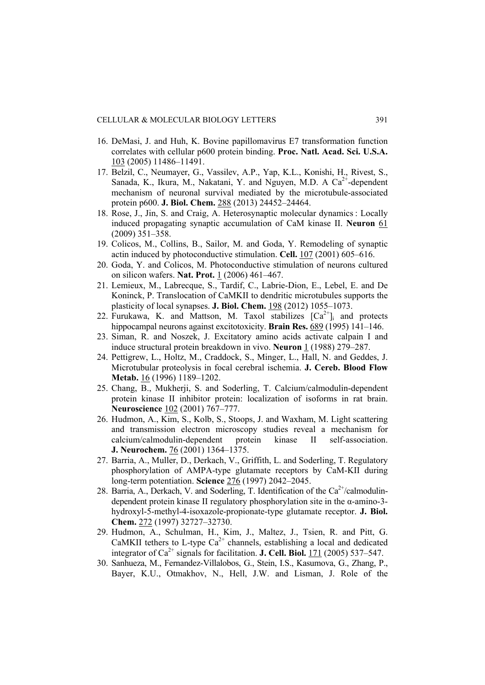- 16. DeMasi, J. and Huh, K. Bovine papillomavirus E7 transformation function correlates with cellular p600 protein binding. **Proc. Natl. Acad. Sci. U.S.A.** 103 (2005) 11486–11491.
- 17. Belzil, C., Neumayer, G., Vassilev, A.P., Yap, K.L., Konishi, H., Rivest, S., Sanada, K., Ikura, M., Nakatani, Y. and Nguyen, M.D. A  $Ca^{2+}$ -dependent mechanism of neuronal survival mediated by the microtubule-associated protein p600. **J. Biol. Chem.** 288 (2013) 24452–24464.
- 18. Rose, J., Jin, S. and Craig, A. Heterosynaptic molecular dynamics : Locally induced propagating synaptic accumulation of CaM kinase II. **Neuron** 61 (2009) 351–358.
- 19. Colicos, M., Collins, B., Sailor, M. and Goda, Y. Remodeling of synaptic actin induced by photoconductive stimulation. **Cell.** 107 (2001) 605–616.
- 20. Goda, Y. and Colicos, M. Photoconductive stimulation of neurons cultured on silicon wafers. **Nat. Prot.** 1 (2006) 461–467.
- 21. Lemieux, M., Labrecque, S., Tardif, C., Labrie-Dion, E., Lebel, E. and De Koninck, P. Translocation of CaMKII to dendritic microtubules supports the plasticity of local synapses. **J. Biol. Chem.** 198 (2012) 1055–1073.
- 22. Furukawa, K. and Mattson, M. Taxol stabilizes  $[Ca^{2+}]$  and protects hippocampal neurons against excitotoxicity. **Brain Res.** 689 (1995) 141–146.
- 23. Siman, R. and Noszek, J. Excitatory amino acids activate calpain I and induce structural protein breakdown in vivo. **Neuron** 1 (1988) 279–287.
- 24. Pettigrew, L., Holtz, M., Craddock, S., Minger, L., Hall, N. and Geddes, J. Microtubular proteolysis in focal cerebral ischemia. **J. Cereb. Blood Flow Metab.** 16 (1996) 1189–1202.
- 25. Chang, B., Mukherji, S. and Soderling, T. Calcium/calmodulin-dependent protein kinase II inhibitor protein: localization of isoforms in rat brain. **Neuroscience** 102 (2001) 767–777.
- 26. Hudmon, A., Kim, S., Kolb, S., Stoops, J. and Waxham, M. Light scattering and transmission electron microscopy studies reveal a mechanism for calcium/calmodulin-dependent protein kinase II self-association. **J. Neurochem.** 76 (2001) 1364–1375.
- 27. Barria, A., Muller, D., Derkach, V., Griffith, L. and Soderling, T. Regulatory phosphorylation of AMPA-type glutamate receptors by CaM-KII during long-term potentiation. **Science** 276 (1997) 2042–2045.
- 28. Barria, A., Derkach, V. and Soderling, T. Identification of the  $Ca^{2+}/c$ almodulindependent protein kinase II regulatory phosphorylation site in the α-amino-3 hydroxyl-5-methyl-4-isoxazole-propionate-type glutamate receptor. **J. Biol. Chem.** 272 (1997) 32727–32730.
- 29. Hudmon, A., Schulman, H., Kim, J., Maltez, J., Tsien, R. and Pitt, G. CaMKII tethers to L-type  $Ca^{2+}$  channels, establishing a local and dedicated integrator of  $Ca^{2+}$  signals for facilitation. **J. Cell. Biol.** 171 (2005) 537–547.
- 30. Sanhueza, M., Fernandez-Villalobos, G., Stein, I.S., Kasumova, G., Zhang, P., Bayer, K.U., Otmakhov, N., Hell, J.W. and Lisman, J. Role of the